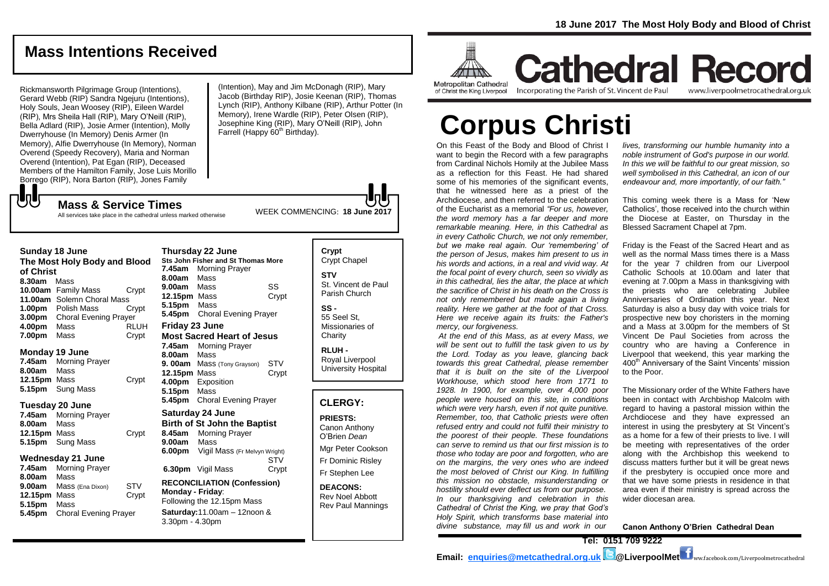**Cathedral Record** 

# **Mass Intentions Received**

Rickmansworth Pilgrimage Group (Intentions), Gerard Webb (RIP) Sandra Ngejuru (Intentions), Holy Souls, Jean Woosey (RIP), Eileen Wardel (RIP), Mrs Sheila Hall (RIP), Mary O'Neill (RIP), Bella Adlard (RIP), Josie Armer (Intention), Molly Dwerryhouse (In Memory) Denis Armer (In Memory), Alfie Dwerryhouse (In Memory), Norman Overend (Speedy Recovery), Maria and Norman Overend (Intention), Pat Egan (RIP), Deceased Members of the Hamilton Family, Jose Luis Morillo Borrego (RIP), Nora Barton (RIP), Jones Family  ${\bf J}$ 

(Intention), May and Jim McDonagh (RIP), Mary Jacob (Birthday RIP), Josie Keenan (RIP), Thomas Lynch (RIP), Anthony Kilbane (RIP), Arthur Potter (In Memory), Irene Wardle (RIP), Peter Olsen (RIP), Josephine King (RIP), Mary O'Neill (RIP), John Farrell (Happy 60<sup>th</sup> Birthday).

WEEK COMMENCING: **18 June 2017 Mass & Service Times** All services take place in the cathedral unless marked otherwise

#### **Sunday 18 June**

**The Most Holy Body and Blood of Christ 8.30am** Mass **10.00am** Family Mass Crypt **11.00am** Solemn Choral Mass **1.00pm** Polish Mass Crypt **3.00pm** Choral Evening Prayer **4.00pm** Mass RLUH **7.00pm** Mass Crypt

### **Monday 19 June**

**7.45am** Morning Prayer **8.00am** Mass **12.15pm** Mass Crypt **5.15pm** Sung Mass

### **Tuesday 20 June**

**7.45am** Morning Prayer **8.00am** Mass **12.15pm** Mass Crypt **5.15pm** Sung Mass

# **Wednesday 21 June**

**7.45am** Morning Prayer **8.00am** Mass **9.00am** Mass (Ena Dixon) STV<br>**12.15pm** Mass Crypt **12.15pm Mass 5.15pm** Mass **5.45pm** Choral Evening Prayer

**Thursday 22 June Sts John Fisher and St Thomas More 7.45am** Morning Prayer **8.00am** Mass **9.00am** Mass SS **12.15pm** Mass Crypt **5.15pm** Mass **5.45pm** Choral Evening Prayer **Friday 23 June Most Sacred Heart of Jesus 7.45am** Morning Prayer **8.00am** Mass **9. 00am** Mass (Tony Grayson) STV **12.15pm** Mass Crypt **4.00pm** Exposition **5.15pm** Mass **5.45pm** Choral Evening Prayer **Saturday 24 June Birth of St John the Baptist 8.45am** Morning Prayer

**9.00am** Mass **6.00pm** Vigil Mass (Fr Melvyn Wright) STV<br>Crypt **6.30pm** Vigil Mass

# **RECONCILIATION (Confession) Monday - Friday**:

Following the 12.15pm Mass **Saturday:**11.00am – 12noon & 3.30pm - 4.30pm

# **Crypt**  Crypt Chapel **STV** St. Vincent de Paul Parish Church

**SS -** 55 Seel St, Missionaries of **Charity** 

**RLUH -** Royal Liverpool University Hospital

# **CLERGY:**

**PRIESTS:** Canon Anthony O'Brien *Dean* Mgr Peter Cookson Fr Dominic Risley Fr Stephen Lee

**DEACONS:** Rev Noel Abbott Rev Paul Mannings



of Christ the King Liverpool

Incorporating the Parish of St. Vincent de Paul www.liverpoolmetrocathedral.org.uk

# **Corpus Christi**

On this Feast of the Body and Blood of Christ I want to begin the Record with a few paragraphs from Cardinal Nichols Homily at the Jubilee Mass as a reflection for this Feast. He had shared some of his memories of the significant events. that he witnessed here as a priest of the Archdiocese, and then referred to the celebration of the Eucharist as a memorial *"For us, however, the word memory has a far deeper and more remarkable meaning. Here, in this Cathedral as in every Catholic Church, we not only remember, but we make real again. Our 'remembering' of the person of Jesus, makes him present to us in his words and actions, in a real and vivid way. At the focal point of every church, seen so vividly as in this cathedral, lies the altar, the place at which the sacrifice of Christ in his death on the Cross is not only remembered but made again a living reality. Here we gather at the foot of that Cross. Here we receive again its fruits: the Father's mercy, our forgiveness.*

*At the end of this Mass, as at every Mass, we will be sent out to fulfill the task given to us by the Lord. Today as you leave, glancing back towards this great Cathedral, please remember that it is built on the site of the Liverpool Workhouse, which stood here from 1771 to 1928. In 1900, for example, over 4,000 poor people were housed on this site, in conditions which were very harsh, even if not quite punitive. Remember, too, that Catholic priests were often refused entry and could not fulfil their ministry to the poorest of their people. These foundations can serve to remind us that our first mission is to those who today are poor and forgotten, who are on the margins, the very ones who are indeed the most beloved of Christ our King. In fulfilling this mission no obstacle, misunderstanding or hostility should ever deflect us from our purpose. In our thanksgiving and celebration in this Cathedral of Christ the King, we pray that God's Holy Spirit, which transforms base material into divine substance, may fill us and work in our* 

*lives, transforming our humble humanity into a noble instrument of God's purpose in our world. In this we will be faithful to our great mission, so well symbolised in this Cathedral, an icon of our endeavour and, more importantly, of our faith."*

This coming week there is a Mass for 'New Catholics', those received into the church within the Diocese at Easter, on Thursday in the Blessed Sacrament Chapel at 7pm.

Friday is the Feast of the Sacred Heart and as well as the normal Mass times there is a Mass for the year 7 children from our Liverpool Catholic Schools at 10.00am and later that evening at 7.00pm a Mass in thanksgiving with the priests who are celebrating Jubilee Anniversaries of Ordination this year. Next Saturday is also a busy day with voice trials for prospective new boy choristers in the morning and a Mass at 3.00pm for the members of St Vincent De Paul Societies from across the country who are having a Conference in Liverpool that weekend, this year marking the 400<sup>th</sup> Anniversary of the Saint Vincents' mission to the Poor.

The Missionary order of the White Fathers have been in contact with Archbishop Malcolm with regard to having a pastoral mission within the Archdiocese and they have expressed an interest in using the presbytery at St Vincent's as a home for a few of their priests to live. I will be meeting with representatives of the order along with the Archbishop this weekend to discuss matters further but it will be great news if the presbytery is occupied once more and that we have some priests in residence in that area even if their ministry is spread across the wider diocesan area.

**Canon Anthony O'Brien Cathedral Dean**

**Tel: 0151 709 9222 Email: [enquiries@metcathedral.org.uk](mailto:enquiries@metcathedral.org.uk) B** @LiverpoolMet **f** ww.facebook.com/Liverpoolmetrocathedral